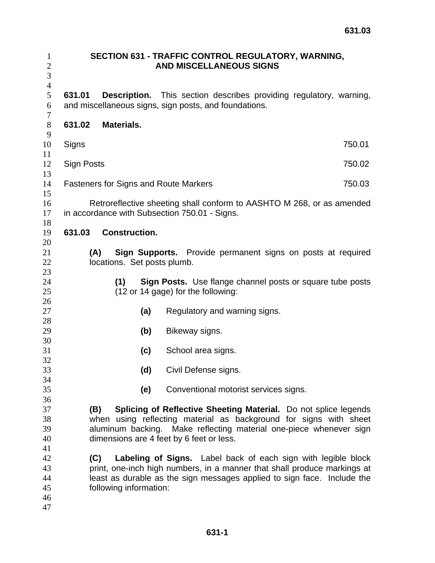| $\mathbf{1}$<br>$\sqrt{2}$<br>3                                | SECTION 631 - TRAFFIC CONTROL REGULATORY, WARNING,<br><b>AND MISCELLANEOUS SIGNS</b>                                                         |                                              |                                                                                                                                                                                                                                                                                                                                                                                                                                                                                |  |  |  |  |  |  |
|----------------------------------------------------------------|----------------------------------------------------------------------------------------------------------------------------------------------|----------------------------------------------|--------------------------------------------------------------------------------------------------------------------------------------------------------------------------------------------------------------------------------------------------------------------------------------------------------------------------------------------------------------------------------------------------------------------------------------------------------------------------------|--|--|--|--|--|--|
| $\overline{4}$<br>5<br>6                                       | <b>Description.</b> This section describes providing regulatory, warning,<br>631.01<br>and miscellaneous signs, sign posts, and foundations. |                                              |                                                                                                                                                                                                                                                                                                                                                                                                                                                                                |  |  |  |  |  |  |
| $\boldsymbol{7}$<br>$8\,$                                      | 631.02                                                                                                                                       | <b>Materials.</b>                            |                                                                                                                                                                                                                                                                                                                                                                                                                                                                                |  |  |  |  |  |  |
| 9<br>10                                                        | Signs                                                                                                                                        |                                              | 750.01                                                                                                                                                                                                                                                                                                                                                                                                                                                                         |  |  |  |  |  |  |
| 11<br>12                                                       | Sign Posts                                                                                                                                   |                                              | 750.02                                                                                                                                                                                                                                                                                                                                                                                                                                                                         |  |  |  |  |  |  |
| 13<br>14                                                       |                                                                                                                                              | <b>Fasteners for Signs and Route Markers</b> | 750.03                                                                                                                                                                                                                                                                                                                                                                                                                                                                         |  |  |  |  |  |  |
| 15<br>16<br>17                                                 | Retroreflective sheeting shall conform to AASHTO M 268, or as amended<br>in accordance with Subsection 750.01 - Signs.                       |                                              |                                                                                                                                                                                                                                                                                                                                                                                                                                                                                |  |  |  |  |  |  |
| 18<br>19                                                       | 631.03                                                                                                                                       | <b>Construction.</b>                         |                                                                                                                                                                                                                                                                                                                                                                                                                                                                                |  |  |  |  |  |  |
| 20<br>21<br>22<br>23                                           | Sign Supports. Provide permanent signs on posts at required<br>(A)<br>locations. Set posts plumb.                                            |                                              |                                                                                                                                                                                                                                                                                                                                                                                                                                                                                |  |  |  |  |  |  |
| 24<br>25                                                       |                                                                                                                                              | (1)                                          | <b>Sign Posts.</b> Use flange channel posts or square tube posts<br>(12 or 14 gage) for the following:                                                                                                                                                                                                                                                                                                                                                                         |  |  |  |  |  |  |
| 26<br>27                                                       |                                                                                                                                              | (a)                                          | Regulatory and warning signs.                                                                                                                                                                                                                                                                                                                                                                                                                                                  |  |  |  |  |  |  |
| 28<br>29                                                       |                                                                                                                                              | (b)                                          | Bikeway signs.                                                                                                                                                                                                                                                                                                                                                                                                                                                                 |  |  |  |  |  |  |
| 30<br>31                                                       |                                                                                                                                              | (c)                                          | School area signs.                                                                                                                                                                                                                                                                                                                                                                                                                                                             |  |  |  |  |  |  |
| 32<br>33                                                       |                                                                                                                                              | (d)                                          | Civil Defense signs.                                                                                                                                                                                                                                                                                                                                                                                                                                                           |  |  |  |  |  |  |
| 34<br>35                                                       |                                                                                                                                              | (e)                                          | Conventional motorist services signs.                                                                                                                                                                                                                                                                                                                                                                                                                                          |  |  |  |  |  |  |
| 36<br>37<br>38<br>39<br>40<br>41<br>42<br>43<br>44<br>45<br>46 |                                                                                                                                              | (B)<br>(C)<br>following information:         | Splicing of Reflective Sheeting Material. Do not splice legends<br>when using reflecting material as background for signs with sheet<br>aluminum backing. Make reflecting material one-piece whenever sign<br>dimensions are 4 feet by 6 feet or less.<br>Labeling of Signs. Label back of each sign with legible block<br>print, one-inch high numbers, in a manner that shall produce markings at<br>least as durable as the sign messages applied to sign face. Include the |  |  |  |  |  |  |
| 47                                                             |                                                                                                                                              |                                              |                                                                                                                                                                                                                                                                                                                                                                                                                                                                                |  |  |  |  |  |  |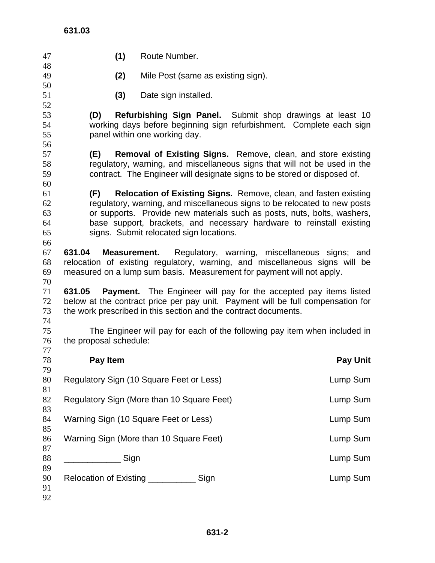| 47       | (1)                                                                                                                                                   | Route Number.                                                             |  |  |  |  |                                               |  |  |
|----------|-------------------------------------------------------------------------------------------------------------------------------------------------------|---------------------------------------------------------------------------|--|--|--|--|-----------------------------------------------|--|--|
| 48<br>49 | (2)                                                                                                                                                   | Mile Post (same as existing sign).                                        |  |  |  |  |                                               |  |  |
| 50       |                                                                                                                                                       |                                                                           |  |  |  |  |                                               |  |  |
| 51<br>52 | (3)                                                                                                                                                   | Date sign installed.                                                      |  |  |  |  |                                               |  |  |
| 53       | (D)                                                                                                                                                   | <b>Refurbishing Sign Panel.</b> Submit shop drawings at least 10          |  |  |  |  |                                               |  |  |
| 54       |                                                                                                                                                       | working days before beginning sign refurbishment. Complete each sign      |  |  |  |  |                                               |  |  |
| 55       |                                                                                                                                                       | panel within one working day.                                             |  |  |  |  |                                               |  |  |
| 56       |                                                                                                                                                       |                                                                           |  |  |  |  |                                               |  |  |
| 57       | (E)                                                                                                                                                   | <b>Removal of Existing Signs.</b> Remove, clean, and store existing       |  |  |  |  |                                               |  |  |
| 58       | regulatory, warning, and miscellaneous signs that will not be used in the<br>contract. The Engineer will designate signs to be stored or disposed of. |                                                                           |  |  |  |  |                                               |  |  |
| 59       |                                                                                                                                                       |                                                                           |  |  |  |  |                                               |  |  |
| 60<br>61 | (F)                                                                                                                                                   | <b>Relocation of Existing Signs.</b> Remove, clean, and fasten existing   |  |  |  |  |                                               |  |  |
| 62       |                                                                                                                                                       | regulatory, warning, and miscellaneous signs to be relocated to new posts |  |  |  |  |                                               |  |  |
| 63       |                                                                                                                                                       | or supports. Provide new materials such as posts, nuts, bolts, washers,   |  |  |  |  |                                               |  |  |
| 64       |                                                                                                                                                       | base support, brackets, and necessary hardware to reinstall existing      |  |  |  |  |                                               |  |  |
| 65       |                                                                                                                                                       | signs. Submit relocated sign locations.                                   |  |  |  |  |                                               |  |  |
| 66       |                                                                                                                                                       |                                                                           |  |  |  |  |                                               |  |  |
| 67       | 631.04<br><b>Measurement.</b>                                                                                                                         |                                                                           |  |  |  |  | Regulatory, warning, miscellaneous signs; and |  |  |
| 68       | relocation of existing regulatory, warning, and miscellaneous signs will be                                                                           |                                                                           |  |  |  |  |                                               |  |  |
| 69       | measured on a lump sum basis. Measurement for payment will not apply.                                                                                 |                                                                           |  |  |  |  |                                               |  |  |
| 70       |                                                                                                                                                       |                                                                           |  |  |  |  |                                               |  |  |
| 71<br>72 | 631.05<br>below at the contract price per pay unit. Payment will be full compensation for                                                             | <b>Payment.</b> The Engineer will pay for the accepted pay items listed   |  |  |  |  |                                               |  |  |
| 73       | the work prescribed in this section and the contract documents.                                                                                       |                                                                           |  |  |  |  |                                               |  |  |
| 74       |                                                                                                                                                       |                                                                           |  |  |  |  |                                               |  |  |
| 75       |                                                                                                                                                       | The Engineer will pay for each of the following pay item when included in |  |  |  |  |                                               |  |  |
| 76       | the proposal schedule:                                                                                                                                |                                                                           |  |  |  |  |                                               |  |  |
| 77       |                                                                                                                                                       |                                                                           |  |  |  |  |                                               |  |  |
| 78       | Pay Item                                                                                                                                              |                                                                           |  |  |  |  | <b>Pay Unit</b>                               |  |  |
| 79<br>80 | Regulatory Sign (10 Square Feet or Less)                                                                                                              |                                                                           |  |  |  |  |                                               |  |  |
| 81       |                                                                                                                                                       |                                                                           |  |  |  |  | Lump Sum                                      |  |  |
| 82       | Regulatory Sign (More than 10 Square Feet)                                                                                                            |                                                                           |  |  |  |  | Lump Sum                                      |  |  |
| 83       |                                                                                                                                                       |                                                                           |  |  |  |  |                                               |  |  |
| 84       | Warning Sign (10 Square Feet or Less)                                                                                                                 |                                                                           |  |  |  |  | Lump Sum                                      |  |  |
| 85       |                                                                                                                                                       |                                                                           |  |  |  |  |                                               |  |  |
| 86       | Warning Sign (More than 10 Square Feet)                                                                                                               |                                                                           |  |  |  |  | Lump Sum                                      |  |  |
| 87       |                                                                                                                                                       |                                                                           |  |  |  |  |                                               |  |  |
| 88<br>89 | ______________Sign                                                                                                                                    |                                                                           |  |  |  |  | Lump Sum                                      |  |  |
| 90       | Relocation of Existing _______________ Sign                                                                                                           |                                                                           |  |  |  |  | Lump Sum                                      |  |  |
| 91       |                                                                                                                                                       |                                                                           |  |  |  |  |                                               |  |  |
| 92       |                                                                                                                                                       |                                                                           |  |  |  |  |                                               |  |  |